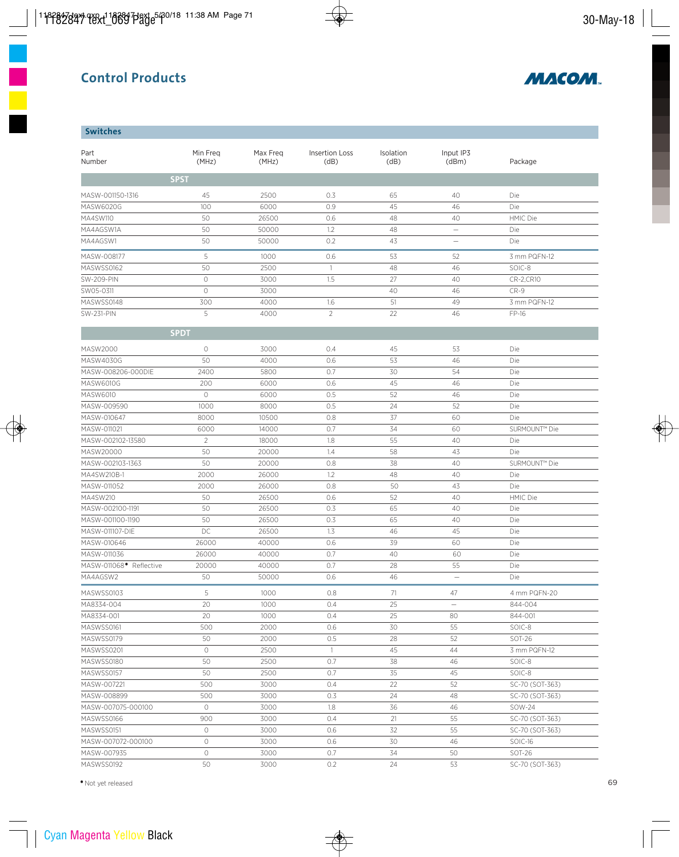

### **Switches**

| Part<br>Number         | Min Freg<br>(MHz)   | Max Freq<br>(MHz) | <b>Insertion Loss</b><br>(dB) | Isolation<br>(dB) | Input IP3<br>(dBm) | Package                   |  |
|------------------------|---------------------|-------------------|-------------------------------|-------------------|--------------------|---------------------------|--|
|                        | <b>SPST</b>         |                   |                               |                   |                    |                           |  |
| MASW-001150-1316       | 45                  | 2500              | 0.3                           | 65                | 40                 | Die                       |  |
| MASW6020G              | 100                 | 6000              | 0.9                           | 45                | 46                 | Die                       |  |
| MA4SW110               | 50                  | 26500             | 0.6                           | 48                | 40                 | <b>HMIC Die</b>           |  |
| MA4AGSW1A              | 50                  | 50000             | 1.2                           | 48                | $\qquad \qquad -$  | Die                       |  |
| MA4AGSW1               | 50                  | 50000             | 0.2                           | 43                | $\equiv$           | Die                       |  |
|                        |                     |                   |                               |                   |                    |                           |  |
| MASW-008177            | 5                   | 1000              | 0.6                           | 53                | 52                 | 3 mm PQFN-12              |  |
| MASWSS0162             | 50                  | 2500              | $\mathbf{1}$                  | 48                | 46                 | SOIC-8                    |  |
| <b>SW-209-PIN</b>      | $\circlearrowright$ | 3000              | 1.5                           | 27                | 40                 | CR-2,CR10                 |  |
| SW05-0311              | $\circlearrowright$ | 3000              |                               | 40                | 46                 | $CR-9$                    |  |
| MASWSS0148             | 300                 | 4000              | 1.6                           | 51                | 49                 | 3 mm PQFN-12              |  |
| <b>SW-231-PIN</b>      | 5                   | 4000              | $\overline{2}$                | 22                | 46                 | FP-16                     |  |
|                        | <b>SPDT</b>         |                   |                               |                   |                    |                           |  |
| MASW2000               | 0                   | 3000              | 0.4                           | 45                | 53                 | Die                       |  |
| MASW4030G              | 50                  | 4000              | 0.6                           | 53                | 46                 | Die                       |  |
| MASW-008206-000DIE     | 2400                | 5800              | 0.7                           | 30                | 54                 | Die                       |  |
| MASW6010G              | 200                 | 6000              | 0.6                           | 45                | 46                 | Die                       |  |
| MASW6010               | $\circlearrowright$ | 6000              | 0.5                           | 52                | 46                 | Die                       |  |
| MASW-009590            | 1000                | 8000              | 0.5                           | 24                | 52                 | Die                       |  |
| MASW-010647            | 8000                | 10500             | 0.8                           | 37                | 60                 | Die                       |  |
| MASW-011021            | 6000                | 14000             | 0.7                           | 34                | 60                 | SURMOUNT™ Die             |  |
| MASW-002102-13580      | $\overline{2}$      | 18000             | 1.8                           | 55                | 40                 | Die                       |  |
| MASW20000              | 50                  | 20000             | 1.4                           | 58                | 43                 | Die                       |  |
| MASW-002103-1363       | 50                  | 20000             | 0.8                           | 38                | 40                 | SURMOUNT <sup>™</sup> Die |  |
| MA4SW210B-1            | 2000                | 26000             | 1.2                           | 48                | 40                 | Die                       |  |
| MASW-011052            | 2000                | 26000             | 0.8                           | 50                | 43                 | Die                       |  |
| MA4SW210               | 50                  | 26500             | 0.6                           | 52                | 40                 | <b>HMIC Die</b>           |  |
| MASW-002100-1191       | 50                  | 26500             | 0.3                           | 65                | 40                 | Die                       |  |
| MASW-001100-1190       | 50                  | 26500             | 0.3                           | 65                | 40                 | Die                       |  |
| MASW-011107-DIE        | DC                  | 26500             | 1.3                           | 46                | 45                 | Die                       |  |
| MASW-010646            | 26000               | 40000             | 0.6                           | 39                | 60                 | Die                       |  |
| MASW-011036            | 26000               | 40000             | 0.7                           | 40                | 60                 | Die                       |  |
| MASW-011068 Peflective | 20000               | 40000             | 0.7                           | 28                | 55                 | Die                       |  |
| MA4AGSW2               | 50                  | 50000             | 0.6                           | 46                | $\equiv$           | Die                       |  |
| MASWSS0103             | 5                   | 1000              | 0.8                           | 71                | 47                 | 4 mm PQFN-20              |  |
| MA8334-004             | 20                  | 1000              | 0.4                           | 25                | $\qquad \qquad -$  | 844-004                   |  |
| MA8334-001             | 20                  | 1000              | 0.4                           | 25                | 80                 | 844-001                   |  |
| MASWSS0161             | 500                 | 2000              | 0.6                           | 30                | 55                 | SOIC-8                    |  |
| MASWSS0179             | 50                  | 2000              | 0.5                           | 28                | 52                 | SOT-26                    |  |
| MASWSS0201             | $\circlearrowright$ | 2500              | $\mathbf{1}$                  | 45                | 44                 | 3 mm PQFN-12              |  |
| MASWSS0180             | 50                  | 2500              | 0.7                           | 38                | 46                 | SOIC-8                    |  |
| MASWSS0157             | 50                  | 2500              | 0.7                           | 35                | 45                 | SOIC-8                    |  |
| MASW-007221            | 500                 | 3000              | 0.4                           | 22                | 52                 | SC-70 (SOT-363)           |  |
| MASW-008899            | 500                 | 3000              | 0.3                           | 24                | 48                 | SC-70 (SOT-363)           |  |
| MASW-007075-000100     | $\circ$             | 3000              | 1.8                           | 36                | 46                 | SOW-24                    |  |
| MASWSS0166             | 900                 | 3000              | 0.4                           | 21                | 55                 | SC-70 (SOT-363)           |  |
| MASWSS0151             | $\circ$             | 3000              | 0.6                           | 32                | 55                 | SC-70 (SOT-363)           |  |
| MASW-007072-000100     | $\circlearrowright$ | 3000              | 0.6                           | 30                | 46                 | SOIC-16                   |  |
| MASW-007935            | $\circ$             | 3000              | 0.7                           | 34                | 50                 | SOT-26                    |  |
| MASWSS0192             | 50                  | 3000              | 0.2                           | 24                | 53                 | SC-70 (SOT-363)           |  |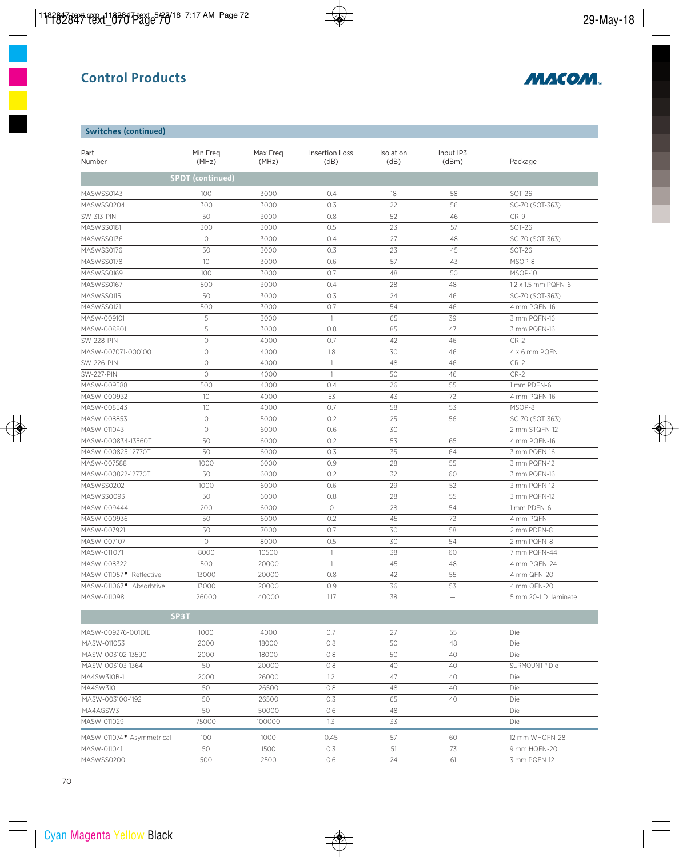

## **Switches (continued)**

| Part<br>Number                      | Min Freg<br>(MHz)       |       | Insertion Loss<br>(dB) | Isolation<br>(dB) | Input IP3<br>(dBm)       | Package             |  |  |
|-------------------------------------|-------------------------|-------|------------------------|-------------------|--------------------------|---------------------|--|--|
|                                     | <b>SPDT</b> (continued) |       |                        |                   |                          |                     |  |  |
| MASWSS0143                          | 100                     | 3000  | 0.4                    | 18                | 58                       | <b>SOT-26</b>       |  |  |
| MASWSS0204                          | 300                     | 3000  | 0.3                    | 22                | 56                       | SC-70 (SOT-363)     |  |  |
| SW-313-PIN                          | 50                      | 3000  | 0.8                    | 52                | 46                       | $CR-9$              |  |  |
| MASWSS0181                          | 300                     | 3000  | 0.5                    | 23                | 57                       | SOT-26              |  |  |
| MASWSS0136                          | $\bigcirc$              | 3000  | 0.4                    | 27                | 48                       | SC-70 (SOT-363)     |  |  |
| MASWSS0176                          | 50                      | 3000  | 0.3                    | 23                | 45                       | SOT-26              |  |  |
| MASWSS0178                          | 10 <sup>°</sup>         | 3000  | 0.6                    | 57                | 43                       | MSOP-8              |  |  |
| MASWSS0169                          | 100                     | 3000  | 0.7                    | 48                | 50                       | MSOP-10             |  |  |
| MASWSS0167                          | 500                     | 3000  | 0.4                    | 28                | 48                       | 1.2 x 1.5 mm PQFN-6 |  |  |
| MASWSS0115                          | 50                      | 3000  | 0.3                    | 24                | 46                       | SC-70 (SOT-363)     |  |  |
| MASWSS0121                          | 500                     | 3000  | 0.7                    | 54                | 46                       | 4 mm PQFN-16        |  |  |
| MASW-009101                         | 5                       | 3000  | $\mathbf{1}$           | 65                | 39                       | 3 mm PQFN-16        |  |  |
| MASW-008801                         | 5                       | 3000  | 0.8                    | 85                | 47                       | 3 mm PQFN-16        |  |  |
| <b>SW-228-PIN</b>                   | $\circlearrowright$     | 4000  | 0.7                    | 42                | 46                       | $CR-2$              |  |  |
| MASW-007071-000100                  | $\circ$                 | 4000  | 1.8                    | 30                | 46                       | 4 x 6 mm PQFN       |  |  |
| <b>SW-226-PIN</b>                   | $\circlearrowright$     | 4000  | $\mathbf{1}$           | 48                | 46                       | $CR-2$              |  |  |
| <b>SW-227-PIN</b>                   | $\circlearrowright$     | 4000  | $\mathbf{1}$           | 50                | 46                       | $CR-2$              |  |  |
| MASW-009588                         | 500                     | 4000  | 0.4                    | 26                | 55                       | 1 mm PDFN-6         |  |  |
| MASW-000932                         | 10                      | 4000  | 53                     | 43                | 72                       | 4 mm PQFN-16        |  |  |
| MASW-008543                         | 10 <sup>°</sup>         | 4000  | 0.7                    | 58                | 53                       | MSOP-8              |  |  |
| MASW-008853                         | $\circ$                 | 5000  | 0.2                    | 25                | 56                       | SC-70 (SOT-363)     |  |  |
| MASW-011043                         | $\circ$                 | 6000  | 0.6                    | 30                | $\overline{\phantom{0}}$ | 2 mm STQFN-12       |  |  |
| MASW-000834-13560T                  | 50                      | 6000  | 0.2                    | 53                | 65                       | 4 mm PQFN-16        |  |  |
| MASW-000825-12770T                  | 50                      | 6000  | 0.3                    | 35                | 64                       | 3 mm PQFN-16        |  |  |
| MASW-007588                         | 1000                    | 6000  | 0.9                    | 28                | 55                       | 3 mm PQFN-12        |  |  |
| MASW-000822-12770T                  | 50                      | 6000  | 0.2                    | 32                | 60                       | 3 mm PQFN-16        |  |  |
| MASWSS0202                          | 1000                    | 6000  | 0.6                    | 29                | 52                       | 3 mm PQFN-12        |  |  |
| MASWSS0093                          | 50                      | 6000  | 0.8                    | 28                | 55                       | 3 mm PQFN-12        |  |  |
| MASW-009444                         | 200                     | 6000  | $\bigcirc$             | 28                | 54                       | 1 mm PDFN-6         |  |  |
| MASW-000936                         | 50                      | 6000  | 0.2                    | 45                | 72                       | 4 mm PQFN           |  |  |
| MASW-007921                         | 50                      | 7000  | 0.7                    | 30                | 58                       | 2 mm PDFN-8         |  |  |
| MASW-007107                         | $\circ$                 | 8000  | 0.5                    | 30                | 54                       | 2 mm PQFN-8         |  |  |
| MASW-011071                         | 8000                    | 10500 | $\mathbf{1}$           | 38                | 60                       | 7 mm PQFN-44        |  |  |
| MASW-008322                         | 500                     | 20000 | $\mathbf{1}$           | 45                | 48                       | 4 mm PQFN-24        |  |  |
| MASW-011057 <sup>·</sup> Reflective | 13000                   | 20000 | 0.8                    | 42                | 55                       | 4 mm QFN-20         |  |  |
| MASW-011067 <sup>·</sup> Absorbtive | 13000                   | 20000 | 0.9                    | 36                | 53                       | 4 mm QFN-20         |  |  |
| MASW-011098                         | 26000                   | 40000 | 1.17                   | 38                | $\equiv$                 | 5 mm 20-LD laminate |  |  |
|                                     | SP3T                    |       |                        |                   |                          |                     |  |  |

| MASW-009276-001DIE         | 1000  | 4000   | 0.7  | 27 | 55 | Die            |  |
|----------------------------|-------|--------|------|----|----|----------------|--|
| MASW-011053                | 2000  | 18000  | 0.8  | 50 | 48 | Die            |  |
| MASW-003102-13590          | 2000  | 18000  | 0.8  | 50 | 40 | Die            |  |
| MASW-003103-1364           | 50    | 20000  | 0.8  | 40 | 40 | SURMOUNT™ Die  |  |
| MA4SW310B-1                | 2000  | 26000  | 1.2  | 47 | 40 | Die            |  |
| MA4SW310                   | 50    | 26500  | 0.8  | 48 | 40 | Die            |  |
| MASW-003100-1192           | 50    | 26500  | 0.3  | 65 | 40 | Die            |  |
| MA4AGSW3                   | 50    | 50000  | 0.6  | 48 | -  | Die            |  |
| MASW-011029                | 75000 | 100000 | 1.3  | 33 | -  | Die            |  |
| MASW-011074 • Asymmetrical | 100   | 1000   | 0.45 | 57 | 60 | 12 mm WHQFN-28 |  |
| MASW-011041                | 50    | 1500   | 0.3  | 51 | 73 | 9 mm HQFN-20   |  |
| MASWSS0200                 | 500   | 2500   | 0.6  | 24 | 61 | 3 mm PQFN-12   |  |
|                            |       |        |      |    |    |                |  |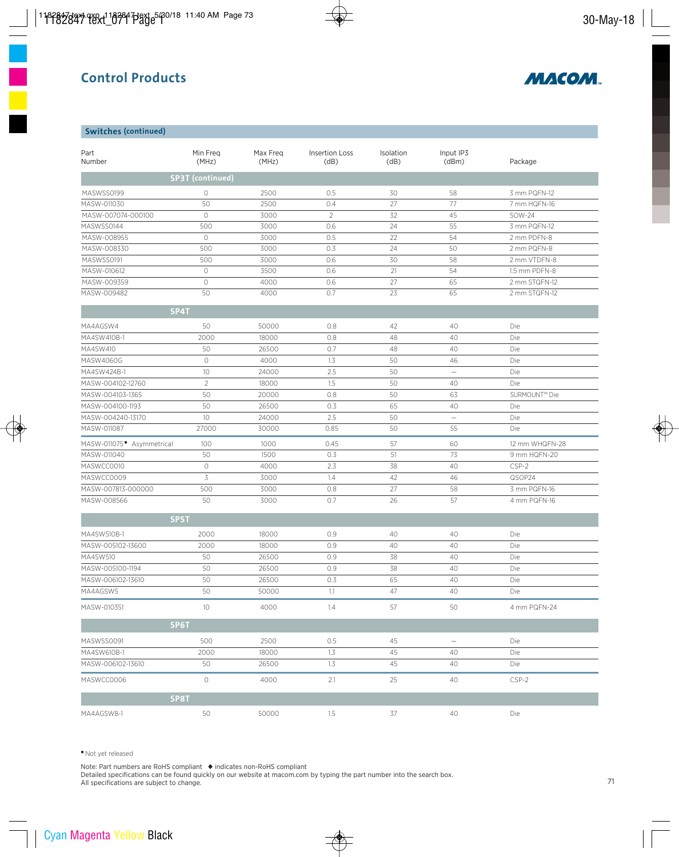

#### **Switches (continued)**

| Part<br>Number                        | Min Freq<br>(MHz)       | Max Freq<br>(MHz) | <b>Insertion Loss</b><br>(dB) | Isolation<br>(dB) | Input IP3<br>(dBm) | Package                   |
|---------------------------------------|-------------------------|-------------------|-------------------------------|-------------------|--------------------|---------------------------|
|                                       | <b>SP3T</b> (continued) |                   |                               |                   |                    |                           |
| MASWSS0199                            | 0                       | 2500              | 0.5                           | 30                | 58                 | 3 mm PQFN-12              |
| MASW-011030                           | 50                      | 2500              | 0.4                           | 27                | 77                 | 7 mm HQFN-16              |
| MASW-007074-000100                    | $\circlearrowright$     | 3000              | $\overline{2}$                | 32                | 45                 | SOW-24                    |
| MASWSS0144                            | 500                     | 3000              | 0.6                           | 24                | 55                 | 3 mm PQFN-12              |
| MASW-008955                           | $\circlearrowright$     | 3000              | 0.5                           | 22                | 54                 | 2 mm PDFN-8               |
| MASW-008330                           | 500                     | 3000              | 0.3                           | 24                | 50                 | 2 mm PQFN-8               |
| MASWSS0191                            | 500                     | 3000              | 0.6                           | 30                | 58                 | 2 mm VTDFN-8              |
| MASW-010612                           | $\circlearrowright$     | 3500              | 0.6                           | 21                | 54                 | 1.5 mm PDFN-8             |
| MASW-009359                           | $\circlearrowright$     | 4000              | 0.6                           | 27                | 65                 | 2 mm STQFN-12             |
| MASW-009482                           | 50                      | 4000              | 0.7                           | 23                | 65                 | 2 mm STQFN-12             |
| SP4T                                  |                         |                   |                               |                   |                    |                           |
| MA4AGSW4                              | 50                      | 50000             | 0.8                           | 42                | 40                 | Die                       |
| MA4SW410B-1                           | 2000                    | 18000             | 0.8                           | 48                | 40                 | Die                       |
| MA4SW410                              | 50                      | 26500             | 0.7                           | 48                | 40                 | Die                       |
| MASW4060G                             | 0                       | 4000              | 1.3                           | 50                | 46                 | Die                       |
| MA4SW424B-1                           | $10$                    | 24000             | 2.5                           | 50                | $\equiv$           | Die                       |
| MASW-004102-12760                     | $\overline{c}$          | 18000             | 1.5                           | 50                | 40                 | Die                       |
| MASW-004103-1365                      | 50                      | 20000             | 0.8                           | 50                | 63                 | SURMOUNT <sup>™</sup> Die |
| MASW-004100-1193                      | 50                      | 26500             | 0.3                           | 65                | 40                 | Die                       |
| MASW-004240-13170                     | 10                      | 24000             | 2.5                           | 50                | $\equiv$           | Die                       |
| MASW-011087                           | 27000                   | 30000             | 0.85                          | 50                | 55                 | Die                       |
| MASW-011075 <sup>.</sup> Asymmetrical | 100                     | 1000              | 0.45                          | 57                | 60                 | 12 mm WHQFN-28            |
| MASW-011040                           | 50                      | 1500              | 0.3                           | 51                | 73                 | 9 mm HQFN-20              |
| MASWCC0010                            | $\bigcirc$              | 4000              | 2.3                           | 38                | 40                 | CSP-2                     |
| MASWCC0009                            | 3                       | 3000              | 1.4                           | 42                | 46                 | QSOP24                    |
| MASW-007813-000000                    | 500                     | 3000              | 0.8                           | 27                | 58                 | 3 mm PQFN-16              |
| MASW-008566                           | 50                      | 3000              | 0.7                           | 26                | 57                 | 4 mm PQFN-16              |
| SP5T                                  |                         |                   |                               |                   |                    |                           |
| MA4SW510B-1                           | 2000                    | 18000             | 0.9                           | 40                | 40                 | Die                       |
| MASW-005102-13600                     | 2000                    | 18000             | 0.9                           | 40                | 40                 | Die                       |
| MA4SW510                              | 50                      | 26500             | 0.9                           | 38                | 40                 | Die                       |
| MASW-005100-1194                      | 50                      | 26500             | 0.9                           | 38                | 40                 | Die                       |
| MASW-006102-13610                     | 50                      | 26500             | 0.3                           | 65                | 40                 | Die                       |
| MA4AGSW5                              | 50                      | 50000             | 1.1                           | 47                | 40                 | Die                       |
| MASW-010351                           | 10                      | 4000              | 1.4                           | 57                | 50                 | 4 mm PQFN-24              |
| SP6T                                  |                         |                   |                               |                   |                    |                           |
| MASWSS0091                            | 500                     | 2500              | 0.5                           | 45                | $\qquad \qquad -$  | Die                       |
| MA4SW610B-1                           | 2000                    | 18000             | 1.3                           | 45                | 40                 | Die                       |
| MASW-006102-13610                     | 50                      | 26500             | 1.3                           | 45                | 40                 | Die                       |
| MASWCC0006                            | 0                       | 4000              | 2.1                           | 25                | 40                 | $CSP-2$                   |
| SP8T                                  |                         |                   |                               |                   |                    |                           |
| MA4AGSW8-1                            | 50                      | 50000             | 1.5                           | 37                | 40                 | Die                       |

•Not yet released

Note: Part numbers are RoHS compliant ◆ indicates non-RoHS compliant Detailed specifications can be found quickly on our website at macom.com by typing the part number into the search box. All specifications are subject to change.